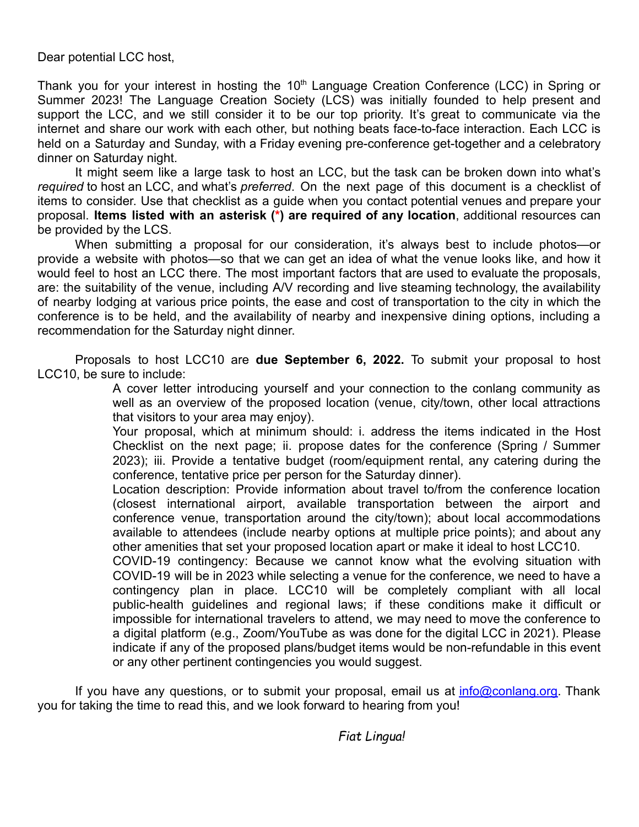Dear potential LCC host,

Thank you for your interest in hosting the 10<sup>th</sup> Language Creation Conference (LCC) in Spring or Summer 2023! The Language Creation Society (LCS) was initially founded to help present and support the LCC, and we still consider it to be our top priority. It's great to communicate via the internet and share our work with each other, but nothing beats face-to-face interaction. Each LCC is held on a Saturday and Sunday, with a Friday evening pre-conference get-together and a celebratory dinner on Saturday night.

It might seem like a large task to host an LCC, but the task can be broken down into what's *required* to host an LCC, and what's *preferred*. On the next page of this document is a checklist of items to consider. Use that checklist as a guide when you contact potential venues and prepare your proposal. **Items listed with an asterisk (\*) are required of any location**, additional resources can be provided by the LCS.

When submitting a proposal for our consideration, it's always best to include photos—or provide a website with photos—so that we can get an idea of what the venue looks like, and how it would feel to host an LCC there. The most important factors that are used to evaluate the proposals, are: the suitability of the venue, including A/V recording and live steaming technology, the availability of nearby lodging at various price points, the ease and cost of transportation to the city in which the conference is to be held, and the availability of nearby and inexpensive dining options, including a recommendation for the Saturday night dinner.

Proposals to host LCC10 are **due September 6, 2022.** To submit your proposal to host LCC10, be sure to include:

> A cover letter introducing yourself and your connection to the conlang community as well as an overview of the proposed location (venue, city/town, other local attractions that visitors to your area may enjoy).

> Your proposal, which at minimum should: i. address the items indicated in the Host Checklist on the next page; ii. propose dates for the conference (Spring / Summer 2023); iii. Provide a tentative budget (room/equipment rental, any catering during the conference, tentative price per person for the Saturday dinner).

> Location description: Provide information about travel to/from the conference location (closest international airport, available transportation between the airport and conference venue, transportation around the city/town); about local accommodations available to attendees (include nearby options at multiple price points); and about any other amenities that set your proposed location apart or make it ideal to host LCC10.

> COVID-19 contingency: Because we cannot know what the evolving situation with COVID-19 will be in 2023 while selecting a venue for the conference, we need to have a contingency plan in place. LCC10 will be completely compliant with all local public-health guidelines and regional laws; if these conditions make it difficult or impossible for international travelers to attend, we may need to move the conference to a digital platform (e.g., Zoom/YouTube as was done for the digital LCC in 2021). Please indicate if any of the proposed plans/budget items would be non-refundable in this event or any other pertinent contingencies you would suggest.

If you have any questions, or to submit your proposal, email us at  $info@cond$  onlang.org. Thank you for taking the time to read this, and we look forward to hearing from you!

*Fiat Lingua!*